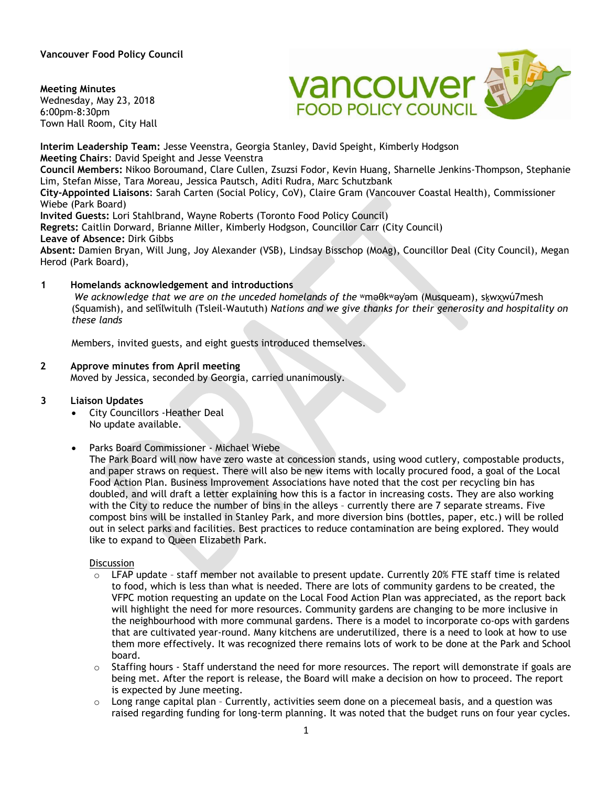**Vancouver Food Policy Council** 

**Meeting Minutes**

Wednesday, May 23, 2018 6:00pm-8:30pm Town Hall Room, City Hall



**Interim Leadership Team:** Jesse Veenstra, Georgia Stanley, David Speight, Kimberly Hodgson **Meeting Chairs**: David Speight and Jesse Veenstra **Council Members:** Nikoo Boroumand, Clare Cullen, Zsuzsi Fodor, Kevin Huang, Sharnelle Jenkins-Thompson, Stephanie Lim, Stefan Misse, Tara Moreau, Jessica Pautsch, Aditi Rudra, Marc Schutzbank **City-Appointed Liaisons**: Sarah Carten (Social Policy, CoV), Claire Gram (Vancouver Coastal Health), Commissioner Wiebe (Park Board) **Invited Guests:** Lori Stahlbrand, Wayne Roberts (Toronto Food Policy Council) **Regrets:** Caitlin Dorward, Brianne Miller, Kimberly Hodgson, Councillor Carr (City Council)

**Leave of Absence:** Dirk Gibbs

**Absent:** Damien Bryan, Will Jung, Joy Alexander (VSB), Lindsay Bisschop (MoAg), Councillor Deal (City Council), Megan Herod (Park Board),

## **1 Homelands acknowledgement and introductions**

*We acknowledge that we are on the unceded homelands of the* ʷməθkʷəy̓əm (Musqueam), sḵwx̱wú7mesh (Squamish), and sel̓íl̓witulh (Tsleil-Waututh) *Nations and we give thanks for their generosity and hospitality on these lands*

Members, invited guests, and eight guests introduced themselves.

#### **2 Approve minutes from April meeting** Moved by Jessica, seconded by Georgia, carried unanimously.

## **3 Liaison Updates**

- City Councillors -Heather Deal No update available.
- Parks Board Commissioner Michael Wiebe

The Park Board will now have zero waste at concession stands, using wood cutlery, compostable products, and paper straws on request. There will also be new items with locally procured food, a goal of the Local Food Action Plan. Business Improvement Associations have noted that the cost per recycling bin has doubled, and will draft a letter explaining how this is a factor in increasing costs. They are also working with the City to reduce the number of bins in the alleys – currently there are 7 separate streams. Five compost bins will be installed in Stanley Park, and more diversion bins (bottles, paper, etc.) will be rolled out in select parks and facilities. Best practices to reduce contamination are being explored. They would like to expand to Queen Elizabeth Park.

## **Discussion**

- $\circ$  LFAP update staff member not available to present update. Currently 20% FTE staff time is related to food, which is less than what is needed. There are lots of community gardens to be created, the VFPC motion requesting an update on the Local Food Action Plan was appreciated, as the report back will highlight the need for more resources. Community gardens are changing to be more inclusive in the neighbourhood with more communal gardens. There is a model to incorporate co-ops with gardens that are cultivated year-round. Many kitchens are underutilized, there is a need to look at how to use them more effectively. It was recognized there remains lots of work to be done at the Park and School board.
- $\circ$  Staffing hours Staff understand the need for more resources. The report will demonstrate if goals are being met. After the report is release, the Board will make a decision on how to proceed. The report is expected by June meeting.
- $\circ$  Long range capital plan Currently, activities seem done on a piecemeal basis, and a question was raised regarding funding for long-term planning. It was noted that the budget runs on four year cycles.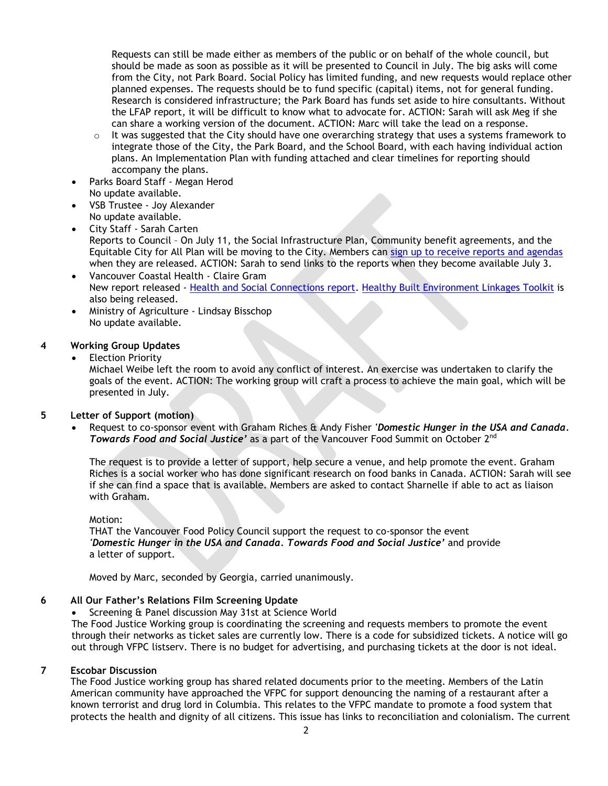Requests can still be made either as members of the public or on behalf of the whole council, but should be made as soon as possible as it will be presented to Council in July. The big asks will come from the City, not Park Board. Social Policy has limited funding, and new requests would replace other planned expenses. The requests should be to fund specific (capital) items, not for general funding. Research is considered infrastructure; the Park Board has funds set aside to hire consultants. Without the LFAP report, it will be difficult to know what to advocate for. ACTION: Sarah will ask Meg if she can share a working version of the document. ACTION: Marc will take the lead on a response.

- $\circ$  It was suggested that the City should have one overarching strategy that uses a systems framework to integrate those of the City, the Park Board, and the School Board, with each having individual action plans. An Implementation Plan with funding attached and clear timelines for reporting should accompany the plans.
- Parks Board Staff Megan Herod No update available.
- VSB Trustee Joy Alexander No update available.
- City Staff Sarah Carten Reports to Council – On July 11, the Social Infrastructure Plan, Community benefit agreements, and the Equitable City for All Plan will be moving to the City. Members can sign up to receive [reports and agendas](http://vancouver.ca/your-government/city-council-meetings-and-decisions.aspx) when they are released. ACTION: Sarah to send links to the reports when they become available July 3.
- Vancouver Coastal Health Claire Gram New report released - [Health and Social Connections report.](http://www.vch.ca/_layouts/15/DocIdRedir.aspx?ID=VCHCA-1797567310-1568) [Healthy Built Environment Linkages Toolkit](http://www.bccdc.ca/health-professionals/professional-resources/healthy-built-environment-linkages-toolkit) is also being released.
- Ministry of Agriculture Lindsay Bisschop No update available.

## **4 Working Group Updates**

## **Election Priority**

Michael Weibe left the room to avoid any conflict of interest. An exercise was undertaken to clarify the goals of the event. ACTION: The working group will craft a process to achieve the main goal, which will be presented in July.

## **5 Letter of Support (motion)**

• Request to co-sponsor event with Graham Riches & Andy Fisher *'Domestic Hunger in the USA and Canada. Towards Food and Social Justice'* as a part of the Vancouver Food Summit on October 2nd

The request is to provide a letter of support, help secure a venue, and help promote the event. Graham Riches is a social worker who has done significant research on food banks in Canada. ACTION: Sarah will see if she can find a space that is available. Members are asked to contact Sharnelle if able to act as liaison with Graham.

## Motion:

THAT the Vancouver Food Policy Council support the request to co-sponsor the event *'Domestic Hunger in the USA and Canada. Towards Food and Social Justice'* and provide a letter of support.

Moved by Marc, seconded by Georgia, carried unanimously.

## **6 All Our Father's Relations Film Screening Update**

• Screening & Panel discussion May 31st at Science World

The Food Justice Working group is coordinating the screening and requests members to promote the event through their networks as ticket sales are currently low. There is a code for subsidized tickets. A notice will go out through VFPC listserv. There is no budget for advertising, and purchasing tickets at the door is not ideal.

## **7 Escobar Discussion**

The Food Justice working group has shared related documents prior to the meeting. Members of the Latin American community have approached the VFPC for support denouncing the naming of a restaurant after a known terrorist and drug lord in Columbia. This relates to the VFPC mandate to promote a food system that protects the health and dignity of all citizens. This issue has links to reconciliation and colonialism. The current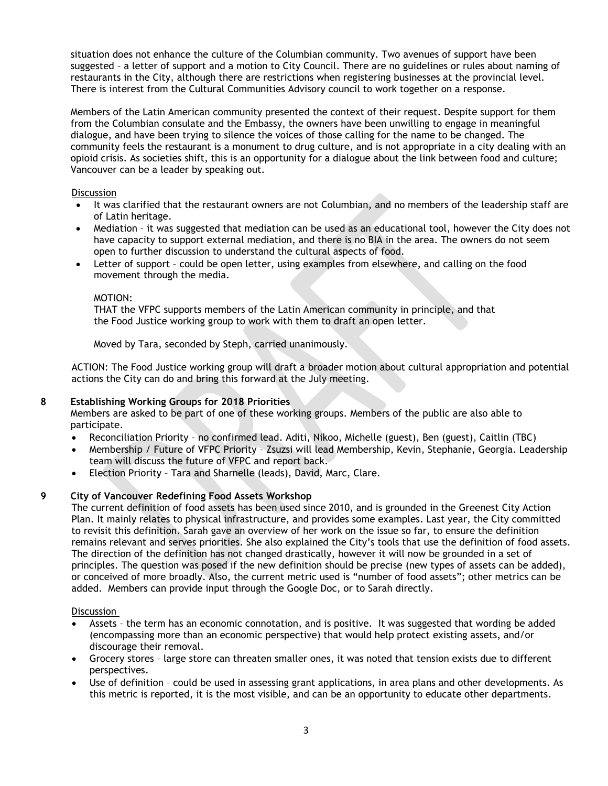situation does not enhance the culture of the Columbian community. Two avenues of support have been suggested – a letter of support and a motion to City Council. There are no guidelines or rules about naming of restaurants in the City, although there are restrictions when registering businesses at the provincial level. There is interest from the Cultural Communities Advisory council to work together on a response.

Members of the Latin American community presented the context of their request. Despite support for them from the Columbian consulate and the Embassy, the owners have been unwilling to engage in meaningful dialogue, and have been trying to silence the voices of those calling for the name to be changed. The community feels the restaurant is a monument to drug culture, and is not appropriate in a city dealing with an opioid crisis. As societies shift, this is an opportunity for a dialogue about the link between food and culture; Vancouver can be a leader by speaking out.

## **Discussion**

- It was clarified that the restaurant owners are not Columbian, and no members of the leadership staff are of Latin heritage.
- Mediation it was suggested that mediation can be used as an educational tool, however the City does not have capacity to support external mediation, and there is no BIA in the area. The owners do not seem open to further discussion to understand the cultural aspects of food.
- Letter of support could be open letter, using examples from elsewhere, and calling on the food movement through the media.

#### MOTION:

THAT the VFPC supports members of the Latin American community in principle, and that the Food Justice working group to work with them to draft an open letter.

Moved by Tara, seconded by Steph, carried unanimously.

ACTION: The Food Justice working group will draft a broader motion about cultural appropriation and potential actions the City can do and bring this forward at the July meeting.

## **8 Establishing Working Groups for 2018 Priorities**

Members are asked to be part of one of these working groups. Members of the public are also able to participate.

- Reconciliation Priority no confirmed lead. Aditi, Nikoo, Michelle (guest), Ben (guest), Caitlin (TBC)
- Membership / Future of VFPC Priority Zsuzsi will lead Membership, Kevin, Stephanie, Georgia. Leadership team will discuss the future of VFPC and report back.
- Election Priority Tara and Sharnelle (leads), David, Marc, Clare.

## **9 City of Vancouver Redefining Food Assets Workshop**

The current definition of food assets has been used since 2010, and is grounded in the Greenest City Action Plan. It mainly relates to physical infrastructure, and provides some examples. Last year, the City committed to revisit this definition. Sarah gave an overview of her work on the issue so far, to ensure the definition remains relevant and serves priorities. She also explained the City's tools that use the definition of food assets. The direction of the definition has not changed drastically, however it will now be grounded in a set of principles. The question was posed if the new definition should be precise (new types of assets can be added), or conceived of more broadly. Also, the current metric used is "number of food assets"; other metrics can be added. Members can provide input through the Google Doc, or to Sarah directly.

## **Discussion**

- Assets the term has an economic connotation, and is positive. It was suggested that wording be added (encompassing more than an economic perspective) that would help protect existing assets, and/or discourage their removal.
- Grocery stores large store can threaten smaller ones, it was noted that tension exists due to different perspectives.
- Use of definition could be used in assessing grant applications, in area plans and other developments. As this metric is reported, it is the most visible, and can be an opportunity to educate other departments.